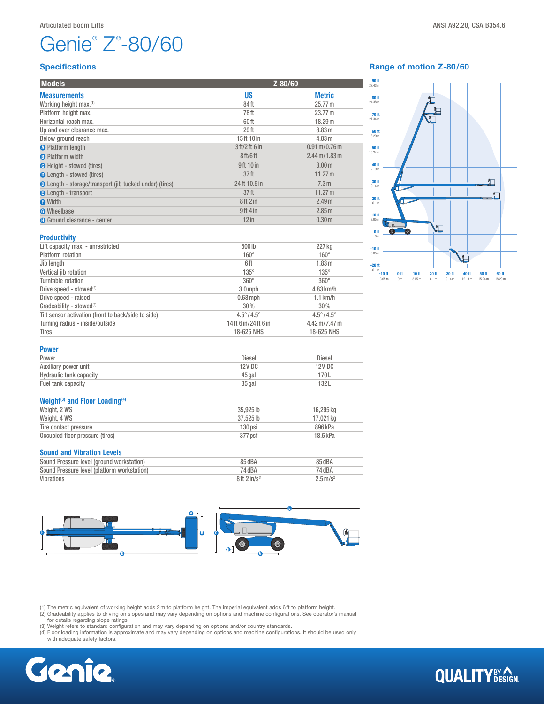# Genie® Z® -80/60

### Specifications

| <b>Models</b>                                                  | Z-80/60                          |                                          |  |
|----------------------------------------------------------------|----------------------------------|------------------------------------------|--|
| <b>Measurements</b>                                            | <b>US</b>                        | <b>Metric</b>                            |  |
| Working height max.(1)                                         | 84ft                             | 25.77 m                                  |  |
| Platform height max.                                           | 78ft                             | 23.77 m                                  |  |
| Horizontal reach max.                                          | 60ft                             | 18.29 m                                  |  |
| Up and over clearance max.                                     | 29 <sub>ft</sub>                 | 8.83 m                                   |  |
| Below ground reach                                             | 15ft 10 in                       | 4.83 m                                   |  |
| <b>O</b> Platform length                                       | 3 ft/2 ft 6 in                   | $0.91 \,\mathrm{m} / 0.76 \,\mathrm{m}$  |  |
| <b>B</b> Platform width                                        | 8 <sub>ft</sub> /6 <sub>ft</sub> | $2.44 \,\mathrm{m}$ /1.83 $\,\mathrm{m}$ |  |
| <b>O</b> Height - stowed (tires)                               | 9ft 10 in                        | 3.00 <sub>m</sub>                        |  |
| <b>O</b> Length - stowed (tires)                               | 37 <sup>th</sup>                 | 11.27 m                                  |  |
| <b>O</b> Length - storage/transport (jib tucked under) (tires) | 24 ft 10.5 in                    | 7.3 <sub>m</sub>                         |  |
| <b>B</b> Length - transport                                    | 37 <sup>th</sup>                 | 11.27 m                                  |  |
| <b>O</b> Width                                                 | 8ft 2 in                         | 2.49 <sub>m</sub>                        |  |
| <b>O</b> Wheelbase                                             | $9ft$ 4 in                       | 2.85 m                                   |  |
| <b>O</b> Ground clearance - center                             | $12$ in                          | 0.30 <sub>m</sub>                        |  |
|                                                                |                                  |                                          |  |

Lift capacity max. - unrestricted 500 lb 227 kg Platform rotation 160° 160° Jib length 6 ft 1.83m Vertical jib rotation 135° 135° Turntable rotation 360° 360° Drive speed - stowed<sup>(2)</sup> 3.0 mph 4.83 km/h Drive speed - raised 0.68mph 1.1 km/h Gradeability - stowed<sup>(2)</sup>  $30\%$   $30\%$ Tilt sensor activation (front to back/side to side) 4.5°/4.5° 4.5°/4.5° Turning radius - inside/outside 14 ft 6 in/ 24 ft 6 in 4.42 m/7.47 m Tires 18-625 NHS 18-625 NHS

|  | Range of motion Z-80/60 |  |
|--|-------------------------|--|
|  |                         |  |



**QUALITY**BY AGN

## Power

**Productivity** 

| .                       |               |               |
|-------------------------|---------------|---------------|
| Power                   | Diesel        | <b>Diesel</b> |
| Auxiliary power unit    | <b>12V DC</b> | 12V DC        |
| Hydraulic tank capacity | 45 gal        | 170L          |
| Fuel tank capacity      | 35 gal        | 132L          |

#### Weight<sup>(3)</sup> and Floor Loading<sup>(4)</sup>

| Weight, 2 WS                    | 35.925 lb | 16.295 ka  |
|---------------------------------|-----------|------------|
| Weight, 4 WS                    | 37.525 lb | 17.021 ka  |
| Tire contact pressure           | 130 psi   | 896 kPa    |
| Occupied floor pressure (tires) | 377 psf   | $18.5$ kPa |
|                                 |           |            |

#### Sound and Vibration Levels

| Sound Pressure level (ground workstation)   | 85 dBA                 | 85 dBA                 |
|---------------------------------------------|------------------------|------------------------|
| Sound Pressure level (platform workstation) | 74 dBA                 | 74 dBA                 |
| Vibrations                                  | 8ft 2in/s <sup>2</sup> | $2.5 \,\mathrm{m/s^2}$ |



(1) The metric equivalent of working height adds 2m to platform height. The imperial equivalent adds 6ft to platform height.

(2) Gradeability applies to driving on slopes and may vary depending on options and machine configurations. See operator's manual for details regarding slope ratings.

(3) Weight refers to standard configuration and may vary depending on options and/or country standards.

(4) Floor loading information is approximate and may vary depending on options and machine configurations. It should be used only with adequate safety factors.